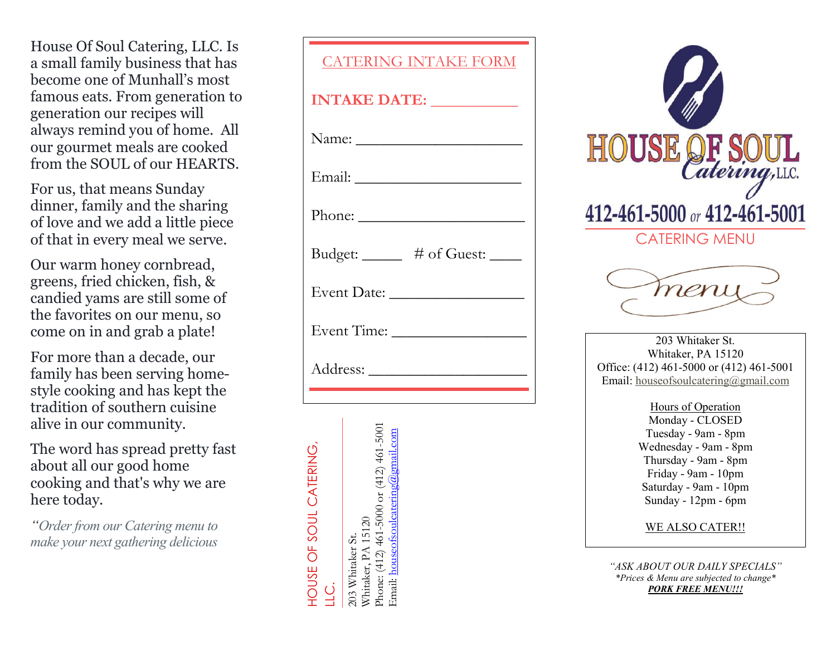House Of Soul Catering, LLC. Is a small family business that has become one of Munhall's most famous eats. From generation to generation our recipes will always remind you of home. All our gourmet meals are cooked from the SOUL of our HEARTS.

For us, that means Sunday dinner, family and the sharing of love and we add a little piece of that in every meal we serve.

Our warm honey cornbread, greens, fried chicken, fish, & candied yams are still some of the favorites on our menu, so come on in and grab a plate!

For more than a decade, our family has been serving homestyle cooking and has kept the tradition of southern cuisine alive in our community.

The word has spread pretty fast about all our good home cooking and that's why we are here today.

"Order from our Catering menu to make your next gathering delicious

| <b>CATERING INTAKE FORM</b>                             |
|---------------------------------------------------------|
| INTAKE DATE:                                            |
|                                                         |
|                                                         |
| Phone: $\frac{1}{\sqrt{1-\frac{1}{2}}\cdot\frac{1}{2}}$ |
| Budget: ______ # of Guest: ____                         |
|                                                         |
|                                                         |
|                                                         |
|                                                         |





Wednesday - 9am - 8pm Thursday - 9am - 8pm Friday - 9am - 10pm Saturday - 9am - 10pm Sunday - 12pm - 6pm

WE ALSO CATER!!

"ASK ABOUT OUR DAILY SPECIALS" \*Prices & Menu are subjected to change\* **PORK FREE MENU!!!**